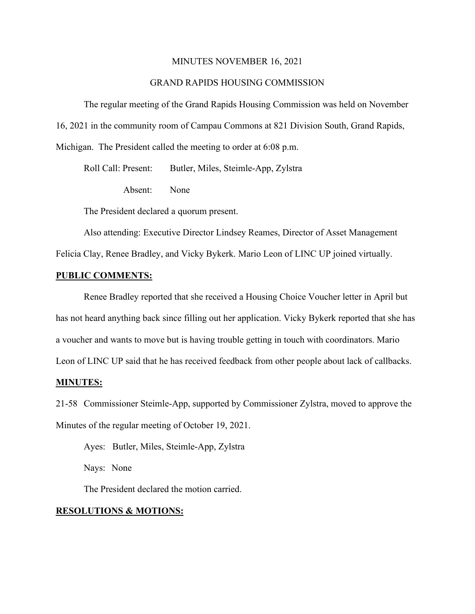#### MINUTES NOVEMBER 16, 2021

### GRAND RAPIDS HOUSING COMMISSION

The regular meeting of the Grand Rapids Housing Commission was held on November 16, 2021 in the community room of Campau Commons at 821 Division South, Grand Rapids, Michigan. The President called the meeting to order at 6:08 p.m.

Roll Call: Present: Butler, Miles, Steimle-App, Zylstra

Absent: None

The President declared a quorum present.

Also attending: Executive Director Lindsey Reames, Director of Asset Management

Felicia Clay, Renee Bradley, and Vicky Bykerk. Mario Leon of LINC UP joined virtually.

#### **PUBLIC COMMENTS:**

Renee Bradley reported that she received a Housing Choice Voucher letter in April but has not heard anything back since filling out her application. Vicky Bykerk reported that she has a voucher and wants to move but is having trouble getting in touch with coordinators. Mario Leon of LINC UP said that he has received feedback from other people about lack of callbacks.

#### **MINUTES:**

21-58 Commissioner Steimle-App, supported by Commissioner Zylstra, moved to approve the Minutes of the regular meeting of October 19, 2021.

Ayes: Butler, Miles, Steimle-App, Zylstra Nays: None The President declared the motion carried.

#### **RESOLUTIONS & MOTIONS:**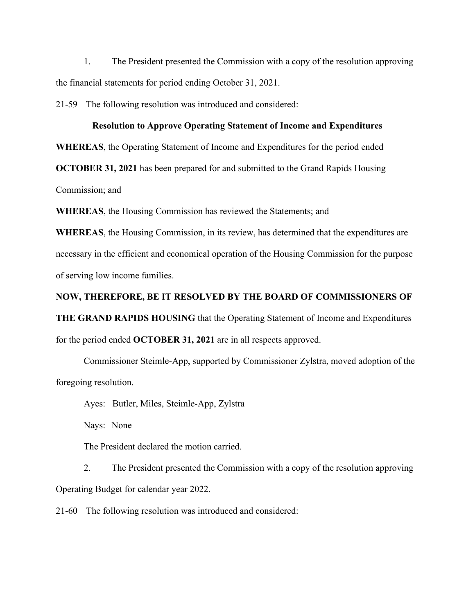1. The President presented the Commission with a copy of the resolution approving the financial statements for period ending October 31, 2021.

21-59 The following resolution was introduced and considered:

#### **Resolution to Approve Operating Statement of Income and Expenditures**

**WHEREAS**, the Operating Statement of Income and Expenditures for the period ended

**OCTOBER 31, 2021** has been prepared for and submitted to the Grand Rapids Housing

Commission; and

**WHEREAS**, the Housing Commission has reviewed the Statements; and

**WHEREAS**, the Housing Commission, in its review, has determined that the expenditures are necessary in the efficient and economical operation of the Housing Commission for the purpose of serving low income families.

## **NOW, THEREFORE, BE IT RESOLVED BY THE BOARD OF COMMISSIONERS OF**

**THE GRAND RAPIDS HOUSING** that the Operating Statement of Income and Expenditures for the period ended **OCTOBER 31, 2021** are in all respects approved.

Commissioner Steimle-App, supported by Commissioner Zylstra, moved adoption of the foregoing resolution.

Ayes: Butler, Miles, Steimle-App, Zylstra

Nays: None

The President declared the motion carried.

2. The President presented the Commission with a copy of the resolution approving Operating Budget for calendar year 2022.

21-60 The following resolution was introduced and considered: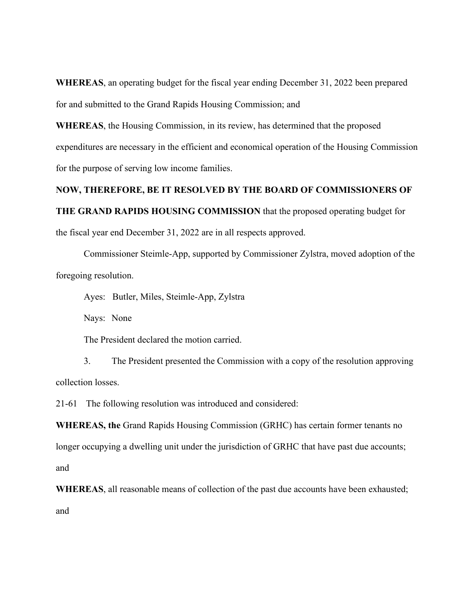**WHEREAS**, an operating budget for the fiscal year ending December 31, 2022 been prepared for and submitted to the Grand Rapids Housing Commission; and

**WHEREAS**, the Housing Commission, in its review, has determined that the proposed expenditures are necessary in the efficient and economical operation of the Housing Commission for the purpose of serving low income families.

# **NOW, THEREFORE, BE IT RESOLVED BY THE BOARD OF COMMISSIONERS OF THE GRAND RAPIDS HOUSING COMMISSION** that the proposed operating budget for the fiscal year end December 31, 2022 are in all respects approved.

Commissioner Steimle-App, supported by Commissioner Zylstra, moved adoption of the foregoing resolution.

Ayes: Butler, Miles, Steimle-App, Zylstra

Nays: None

The President declared the motion carried.

3. The President presented the Commission with a copy of the resolution approving collection losses.

21-61 The following resolution was introduced and considered:

**WHEREAS, the** Grand Rapids Housing Commission (GRHC) has certain former tenants no longer occupying a dwelling unit under the jurisdiction of GRHC that have past due accounts; and

**WHEREAS**, all reasonable means of collection of the past due accounts have been exhausted; and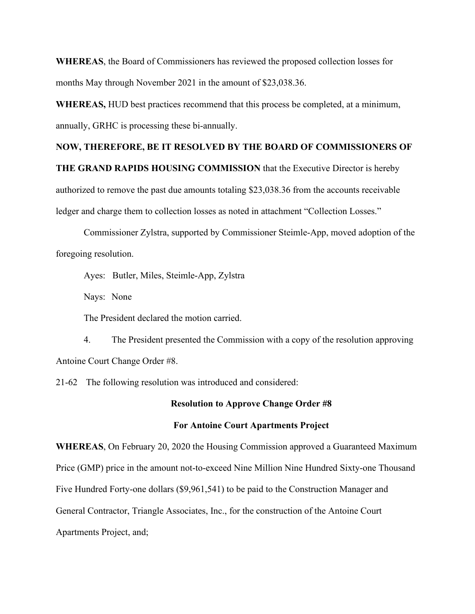**WHEREAS**, the Board of Commissioners has reviewed the proposed collection losses for months May through November 2021 in the amount of \$23,038.36.

**WHEREAS,** HUD best practices recommend that this process be completed, at a minimum, annually, GRHC is processing these bi-annually.

### **NOW, THEREFORE, BE IT RESOLVED BY THE BOARD OF COMMISSIONERS OF**

**THE GRAND RAPIDS HOUSING COMMISSION** that the Executive Director is hereby

authorized to remove the past due amounts totaling \$23,038.36 from the accounts receivable ledger and charge them to collection losses as noted in attachment "Collection Losses."

Commissioner Zylstra, supported by Commissioner Steimle-App, moved adoption of the foregoing resolution.

Ayes: Butler, Miles, Steimle-App, Zylstra

Nays: None

The President declared the motion carried.

4. The President presented the Commission with a copy of the resolution approving Antoine Court Change Order #8.

21-62 The following resolution was introduced and considered:

#### **Resolution to Approve Change Order #8**

#### **For Antoine Court Apartments Project**

**WHEREAS**, On February 20, 2020 the Housing Commission approved a Guaranteed Maximum Price (GMP) price in the amount not-to-exceed Nine Million Nine Hundred Sixty-one Thousand Five Hundred Forty-one dollars (\$9,961,541) to be paid to the Construction Manager and General Contractor, Triangle Associates, Inc., for the construction of the Antoine Court Apartments Project, and;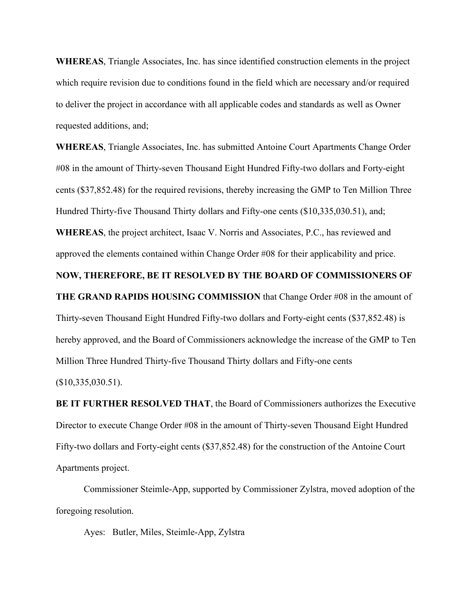**WHEREAS**, Triangle Associates, Inc. has since identified construction elements in the project which require revision due to conditions found in the field which are necessary and/or required to deliver the project in accordance with all applicable codes and standards as well as Owner requested additions, and;

**WHEREAS**, Triangle Associates, Inc. has submitted Antoine Court Apartments Change Order #08 in the amount of Thirty-seven Thousand Eight Hundred Fifty-two dollars and Forty-eight cents (\$37,852.48) for the required revisions, thereby increasing the GMP to Ten Million Three Hundred Thirty-five Thousand Thirty dollars and Fifty-one cents (\$10,335,030.51), and;

**WHEREAS**, the project architect, Isaac V. Norris and Associates, P.C., has reviewed and approved the elements contained within Change Order #08 for their applicability and price.

#### **NOW, THEREFORE, BE IT RESOLVED BY THE BOARD OF COMMISSIONERS OF**

**THE GRAND RAPIDS HOUSING COMMISSION** that Change Order #08 in the amount of Thirty-seven Thousand Eight Hundred Fifty-two dollars and Forty-eight cents (\$37,852.48) is hereby approved, and the Board of Commissioners acknowledge the increase of the GMP to Ten Million Three Hundred Thirty-five Thousand Thirty dollars and Fifty-one cents  $$10,335,030.51$ .

**BE IT FURTHER RESOLVED THAT**, the Board of Commissioners authorizes the Executive Director to execute Change Order #08 in the amount of Thirty-seven Thousand Eight Hundred Fifty-two dollars and Forty-eight cents (\$37,852.48) for the construction of the Antoine Court Apartments project.

Commissioner Steimle-App, supported by Commissioner Zylstra, moved adoption of the foregoing resolution.

Ayes: Butler, Miles, Steimle-App, Zylstra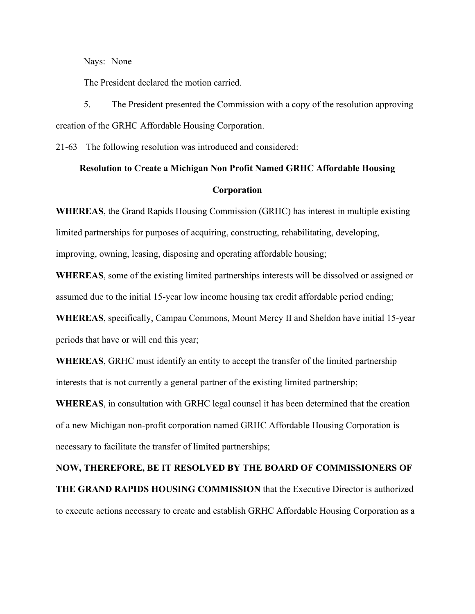Nays: None

The President declared the motion carried.

5. The President presented the Commission with a copy of the resolution approving creation of the GRHC Affordable Housing Corporation.

21-63 The following resolution was introduced and considered:

## **Resolution to Create a Michigan Non Profit Named GRHC Affordable Housing Corporation**

**WHEREAS**, the Grand Rapids Housing Commission (GRHC) has interest in multiple existing limited partnerships for purposes of acquiring, constructing, rehabilitating, developing, improving, owning, leasing, disposing and operating affordable housing;

**WHEREAS**, some of the existing limited partnerships interests will be dissolved or assigned or assumed due to the initial 15-year low income housing tax credit affordable period ending;

**WHEREAS**, specifically, Campau Commons, Mount Mercy II and Sheldon have initial 15-year periods that have or will end this year;

**WHEREAS**, GRHC must identify an entity to accept the transfer of the limited partnership interests that is not currently a general partner of the existing limited partnership;

**WHEREAS**, in consultation with GRHC legal counsel it has been determined that the creation of a new Michigan non-profit corporation named GRHC Affordable Housing Corporation is necessary to facilitate the transfer of limited partnerships;

# **NOW, THEREFORE, BE IT RESOLVED BY THE BOARD OF COMMISSIONERS OF THE GRAND RAPIDS HOUSING COMMISSION** that the Executive Director is authorized to execute actions necessary to create and establish GRHC Affordable Housing Corporation as a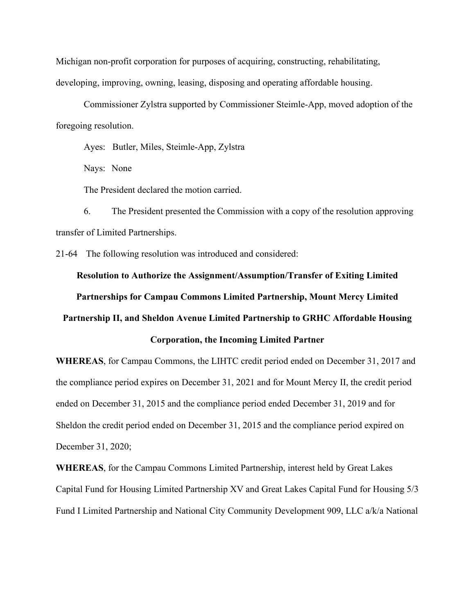Michigan non-profit corporation for purposes of acquiring, constructing, rehabilitating,

developing, improving, owning, leasing, disposing and operating affordable housing.

Commissioner Zylstra supported by Commissioner Steimle-App, moved adoption of the foregoing resolution.

Ayes: Butler, Miles, Steimle-App, Zylstra

Nays: None

The President declared the motion carried.

6. The President presented the Commission with a copy of the resolution approving transfer of Limited Partnerships.

21-64 The following resolution was introduced and considered:

# **Resolution to Authorize the Assignment/Assumption/Transfer of Exiting Limited Partnerships for Campau Commons Limited Partnership, Mount Mercy Limited Partnership II, and Sheldon Avenue Limited Partnership to GRHC Affordable Housing**

#### **Corporation, the Incoming Limited Partner**

**WHEREAS**, for Campau Commons, the LIHTC credit period ended on December 31, 2017 and the compliance period expires on December 31, 2021 and for Mount Mercy II, the credit period ended on December 31, 2015 and the compliance period ended December 31, 2019 and for Sheldon the credit period ended on December 31, 2015 and the compliance period expired on December 31, 2020;

**WHEREAS**, for the Campau Commons Limited Partnership, interest held by Great Lakes Capital Fund for Housing Limited Partnership XV and Great Lakes Capital Fund for Housing 5/3 Fund I Limited Partnership and National City Community Development 909, LLC a/k/a National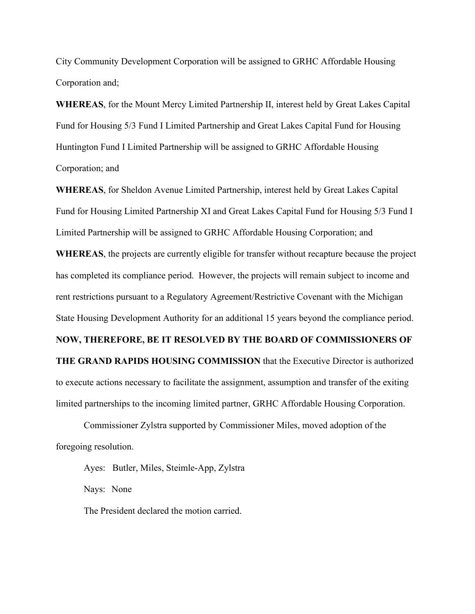City Community Development Corporation will be assigned to GRHC Affordable Housing Corporation and;

**WHEREAS**, for the Mount Mercy Limited Partnership II, interest held by Great Lakes Capital Fund for Housing 5/3 Fund I Limited Partnership and Great Lakes Capital Fund for Housing Huntington Fund I Limited Partnership will be assigned to GRHC Affordable Housing Corporation; and

**WHEREAS**, for Sheldon Avenue Limited Partnership, interest held by Great Lakes Capital Fund for Housing Limited Partnership XI and Great Lakes Capital Fund for Housing 5/3 Fund I Limited Partnership will be assigned to GRHC Affordable Housing Corporation; and

**WHEREAS**, the projects are currently eligible for transfer without recapture because the project has completed its compliance period. However, the projects will remain subject to income and rent restrictions pursuant to a Regulatory Agreement/Restrictive Covenant with the Michigan State Housing Development Authority for an additional 15 years beyond the compliance period.

**NOW, THEREFORE, BE IT RESOLVED BY THE BOARD OF COMMISSIONERS OF THE GRAND RAPIDS HOUSING COMMISSION** that the Executive Director is authorized to execute actions necessary to facilitate the assignment, assumption and transfer of the exiting limited partnerships to the incoming limited partner, GRHC Affordable Housing Corporation.

Commissioner Zylstra supported by Commissioner Miles, moved adoption of the foregoing resolution.

Ayes: Butler, Miles, Steimle-App, Zylstra Nays: None The President declared the motion carried.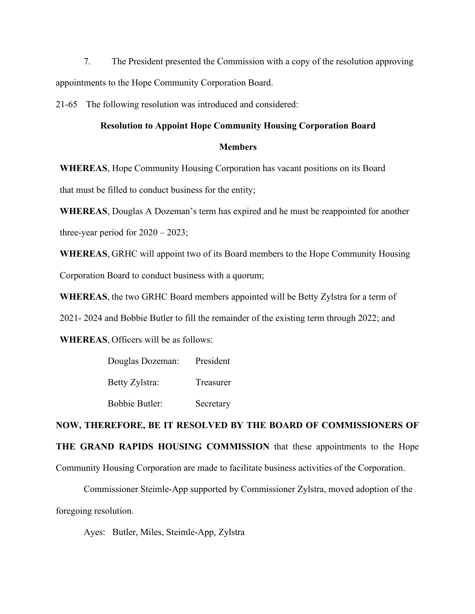7. The President presented the Commission with a copy of the resolution approving appointments to the Hope Community Corporation Board.

21-65 The following resolution was introduced and considered:

## **Resolution to Appoint Hope Community Housing Corporation Board Members**

**WHEREAS**, Hope Community Housing Corporation has vacant positions on its Board that must be filled to conduct business for the entity;

**WHEREAS**, Douglas A Dozeman's term has expired and he must be reappointed for another three-year period for  $2020 - 2023$ ;

**WHEREAS**, GRHC will appoint two of its Board members to the Hope Community Housing Corporation Board to conduct business with a quorum;

**WHEREAS**, the two GRHC Board members appointed will be Betty Zylstra for a term of

2021- 2024 and Bobbie Butler to fill the remainder of the existing term through 2022; and

**WHEREAS**, Officers will be as follows:

| Douglas Dozeman:      | President |
|-----------------------|-----------|
| Betty Zylstra:        | Treasurer |
| <b>Bobbie Butler:</b> | Secretary |

**NOW, THEREFORE, BE IT RESOLVED BY THE BOARD OF COMMISSIONERS OF THE GRAND RAPIDS HOUSING COMMISSION** that these appointments to the Hope Community Housing Corporation are made to facilitate business activities of the Corporation.

Commissioner Steimle-App supported by Commissioner Zylstra, moved adoption of the foregoing resolution.

Ayes: Butler, Miles, Steimle-App, Zylstra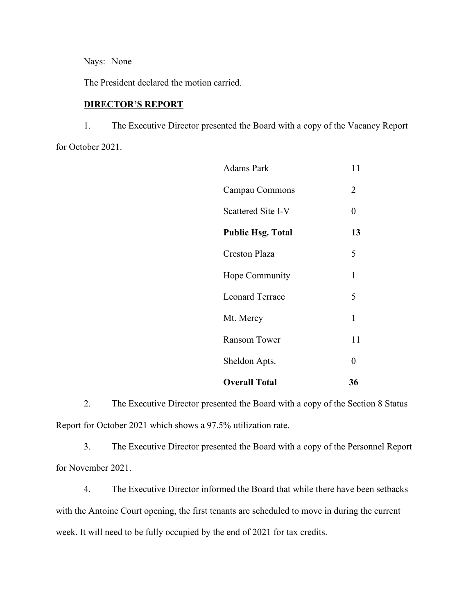Nays: None

The President declared the motion carried.

### **DIRECTOR'S REPORT**

1. The Executive Director presented the Board with a copy of the Vacancy Report for October 2021.

| <b>Adams Park</b>        | 11 |
|--------------------------|----|
| Campau Commons           | 2  |
| Scattered Site I-V       | 0  |
| <b>Public Hsg. Total</b> | 13 |
| <b>Creston Plaza</b>     | 5  |
| Hope Community           | 1  |
| <b>Leonard Terrace</b>   | 5  |
| Mt. Mercy                | 1  |
| <b>Ransom Tower</b>      | 11 |
| Sheldon Apts.            | 0  |
| <b>Overall Total</b>     | 36 |

2. The Executive Director presented the Board with a copy of the Section 8 Status Report for October 2021 which shows a 97.5% utilization rate.

3. The Executive Director presented the Board with a copy of the Personnel Report for November 2021.

4. The Executive Director informed the Board that while there have been setbacks with the Antoine Court opening, the first tenants are scheduled to move in during the current week. It will need to be fully occupied by the end of 2021 for tax credits.